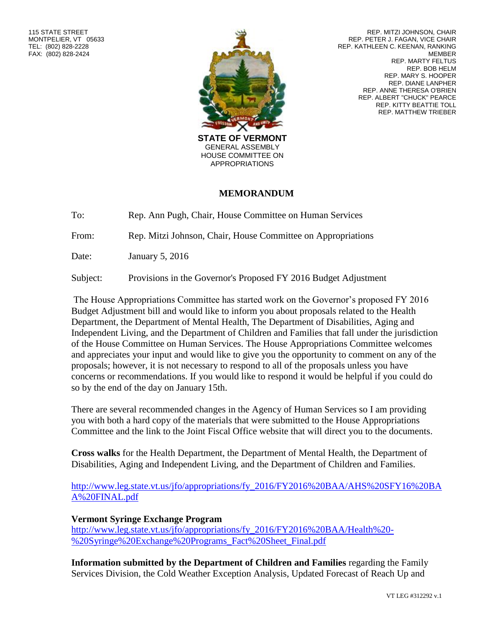

REP. MITZI JOHNSON, CHAIR REP. PETER J. FAGAN, VICE CHAIR REP. KATHLEEN C. KEENAN, RANKING MEMBER REP. MARTY FELTUS REP. BOB HELM REP. MARY S. HOOPER REP. DIANE LANPHER REP. ANNE THERESA O'BRIEN REP. ALBERT "CHUCK" PEARCE REP. KITTY BEATTIE TOLL REP. MATTHEW TRIEBER

## **MEMORANDUM**

To: Rep. Ann Pugh, Chair, House Committee on Human Services

From: Rep. Mitzi Johnson, Chair, House Committee on Appropriations

Date: January 5, 2016

Subject: Provisions in the Governor's Proposed FY 2016 Budget Adjustment

The House Appropriations Committee has started work on the Governor's proposed FY 2016 Budget Adjustment bill and would like to inform you about proposals related to the Health Department, the Department of Mental Health, The Department of Disabilities, Aging and Independent Living, and the Department of Children and Families that fall under the jurisdiction of the House Committee on Human Services. The House Appropriations Committee welcomes and appreciates your input and would like to give you the opportunity to comment on any of the proposals; however, it is not necessary to respond to all of the proposals unless you have concerns or recommendations. If you would like to respond it would be helpful if you could do so by the end of the day on January 15th.

There are several recommended changes in the Agency of Human Services so I am providing you with both a hard copy of the materials that were submitted to the House Appropriations Committee and the link to the Joint Fiscal Office website that will direct you to the documents.

**Cross walks** for the Health Department, the Department of Mental Health, the Department of Disabilities, Aging and Independent Living, and the Department of Children and Families.

[http://www.leg.state.vt.us/jfo/appropriations/fy\\_2016/FY2016%20BAA/AHS%20SFY16%20BA](http://www.leg.state.vt.us/jfo/appropriations/fy_2016/FY2016%20BAA/AHS%20SFY16%20BAA%20FINAL.pdf) [A%20FINAL.pdf](http://www.leg.state.vt.us/jfo/appropriations/fy_2016/FY2016%20BAA/AHS%20SFY16%20BAA%20FINAL.pdf)

## **Vermont Syringe Exchange Program**

[http://www.leg.state.vt.us/jfo/appropriations/fy\\_2016/FY2016%20BAA/Health%20-](http://www.leg.state.vt.us/jfo/appropriations/fy_2016/FY2016%20BAA/Health%20-%20Syringe%20Exchange%20Programs_Fact%20Sheet_Final.pdf) [%20Syringe%20Exchange%20Programs\\_Fact%20Sheet\\_Final.pdf](http://www.leg.state.vt.us/jfo/appropriations/fy_2016/FY2016%20BAA/Health%20-%20Syringe%20Exchange%20Programs_Fact%20Sheet_Final.pdf)

**Information submitted by the Department of Children and Families** regarding the Family Services Division, the Cold Weather Exception Analysis, Updated Forecast of Reach Up and